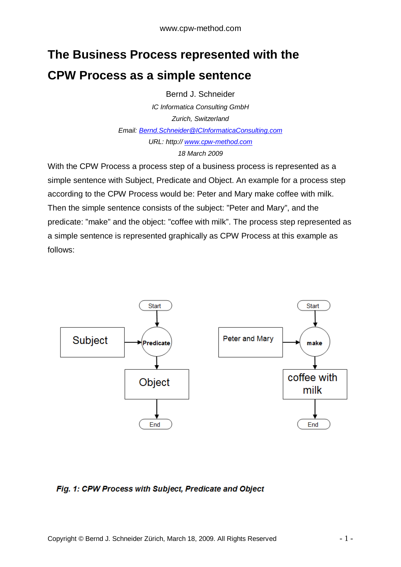## **The Business Process represented with the CPW Process as a simple sentence**

Bernd J. Schneider

*IC Informatica Consulting GmbH Zurich, Switzerland Email: [Bernd.Schneider@ICInformaticaConsulting.com](mailto:Bernd.Schneider@ICInformaticaConsulting.com) URL: http:// <www.cpw-method.com> 18 March 2009* 

With the CPW Process a process step of a business process is represented as a simple sentence with Subject, Predicate and Object. An example for a process step according to the CPW Process would be: Peter and Mary make coffee with milk. Then the simple sentence consists of the subject: "Peter and Mary", and the predicate: "make" and the object: "coffee with milk". The process step represented as a simple sentence is represented graphically as CPW Process at this example as follows:



## Fig. 1: CPW Process with Subject, Predicate and Object